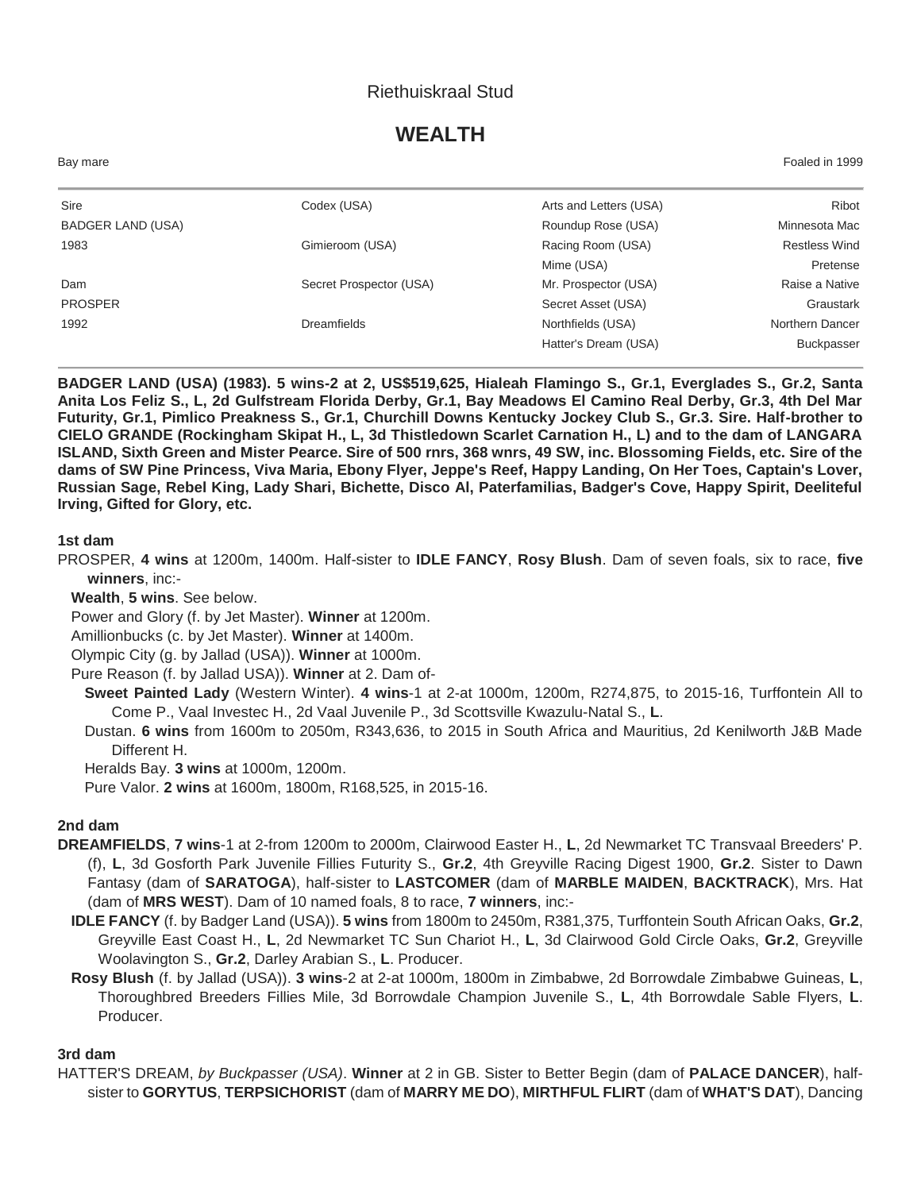### Riethuiskraal Stud

# **WEALTH**

| Bay mare          |                         |                        | Foaled in 1999       |
|-------------------|-------------------------|------------------------|----------------------|
| Sire              | Codex (USA)             | Arts and Letters (USA) | Ribot                |
| BADGER LAND (USA) |                         | Roundup Rose (USA)     | Minnesota Mac        |
| 1983              | Gimieroom (USA)         | Racing Room (USA)      | <b>Restless Wind</b> |
|                   |                         | Mime (USA)             | Pretense             |
| Dam               | Secret Prospector (USA) | Mr. Prospector (USA)   | Raise a Native       |
| <b>PROSPER</b>    |                         | Secret Asset (USA)     | Graustark            |
| 1992              | Dreamfields             | Northfields (USA)      | Northern Dancer      |
|                   |                         | Hatter's Dream (USA)   | <b>Buckpasser</b>    |
|                   |                         |                        |                      |

**BADGER LAND (USA) (1983). 5 wins-2 at 2, US\$519,625, Hialeah Flamingo S., Gr.1, Everglades S., Gr.2, Santa Anita Los Feliz S., L, 2d Gulfstream Florida Derby, Gr.1, Bay Meadows El Camino Real Derby, Gr.3, 4th Del Mar Futurity, Gr.1, Pimlico Preakness S., Gr.1, Churchill Downs Kentucky Jockey Club S., Gr.3. Sire. Half-brother to CIELO GRANDE (Rockingham Skipat H., L, 3d Thistledown Scarlet Carnation H., L) and to the dam of LANGARA ISLAND, Sixth Green and Mister Pearce. Sire of 500 rnrs, 368 wnrs, 49 SW, inc. Blossoming Fields, etc. Sire of the dams of SW Pine Princess, Viva Maria, Ebony Flyer, Jeppe's Reef, Happy Landing, On Her Toes, Captain's Lover, Russian Sage, Rebel King, Lady Shari, Bichette, Disco Al, Paterfamilias, Badger's Cove, Happy Spirit, Deeliteful Irving, Gifted for Glory, etc.**

#### **1st dam**

PROSPER, **4 wins** at 1200m, 1400m. Half-sister to **IDLE FANCY**, **Rosy Blush**. Dam of seven foals, six to race, **five winners**, inc:-

**Wealth**, **5 wins**. See below.

Power and Glory (f. by Jet Master). **Winner** at 1200m.

Amillionbucks (c. by Jet Master). **Winner** at 1400m.

Olympic City (g. by Jallad (USA)). **Winner** at 1000m.

Pure Reason (f. by Jallad USA)). **Winner** at 2. Dam of-

**Sweet Painted Lady** (Western Winter). **4 wins**-1 at 2-at 1000m, 1200m, R274,875, to 2015-16, Turffontein All to Come P., Vaal Investec H., 2d Vaal Juvenile P., 3d Scottsville Kwazulu-Natal S., **L**.

Dustan. **6 wins** from 1600m to 2050m, R343,636, to 2015 in South Africa and Mauritius, 2d Kenilworth J&B Made Different H.

Heralds Bay. **3 wins** at 1000m, 1200m.

Pure Valor. **2 wins** at 1600m, 1800m, R168,525, in 2015-16.

#### **2nd dam**

- **DREAMFIELDS**, **7 wins**-1 at 2-from 1200m to 2000m, Clairwood Easter H., **L**, 2d Newmarket TC Transvaal Breeders' P. (f), **L**, 3d Gosforth Park Juvenile Fillies Futurity S., **Gr.2**, 4th Greyville Racing Digest 1900, **Gr.2**. Sister to Dawn Fantasy (dam of **SARATOGA**), half-sister to **LASTCOMER** (dam of **MARBLE MAIDEN**, **BACKTRACK**), Mrs. Hat (dam of **MRS WEST**). Dam of 10 named foals, 8 to race, **7 winners**, inc:-
	- **IDLE FANCY** (f. by Badger Land (USA)). **5 wins** from 1800m to 2450m, R381,375, Turffontein South African Oaks, **Gr.2**, Greyville East Coast H., **L**, 2d Newmarket TC Sun Chariot H., **L**, 3d Clairwood Gold Circle Oaks, **Gr.2**, Greyville Woolavington S., **Gr.2**, Darley Arabian S., **L**. Producer.
	- **Rosy Blush** (f. by Jallad (USA)). **3 wins**-2 at 2-at 1000m, 1800m in Zimbabwe, 2d Borrowdale Zimbabwe Guineas, **L**, Thoroughbred Breeders Fillies Mile, 3d Borrowdale Champion Juvenile S., **L**, 4th Borrowdale Sable Flyers, **L**. Producer.

#### **3rd dam**

HATTER'S DREAM, *by Buckpasser (USA)*. **Winner** at 2 in GB. Sister to Better Begin (dam of **PALACE DANCER**), halfsister to **GORYTUS**, **TERPSICHORIST** (dam of **MARRY ME DO**), **MIRTHFUL FLIRT** (dam of **WHAT'S DAT**), Dancing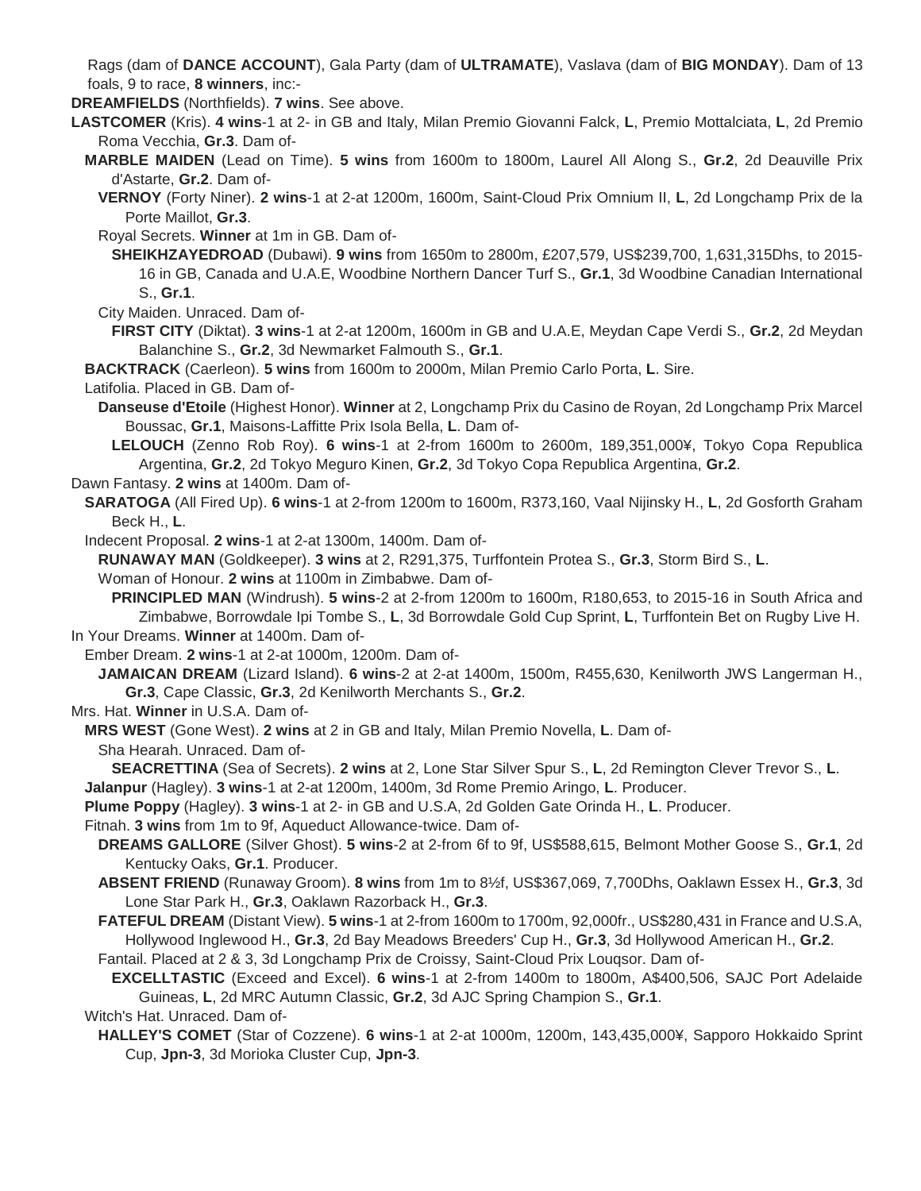Rags (dam of **DANCE ACCOUNT**), Gala Party (dam of **ULTRAMATE**), Vaslava (dam of **BIG MONDAY**). Dam of 13 foals, 9 to race, **8 winners**, inc:-

**DREAMFIELDS** (Northfields). **7 wins**. See above.

**LASTCOMER** (Kris). **4 wins**-1 at 2- in GB and Italy, Milan Premio Giovanni Falck, **L**, Premio Mottalciata, **L**, 2d Premio Roma Vecchia, **Gr.3**. Dam of-

**MARBLE MAIDEN** (Lead on Time). **5 wins** from 1600m to 1800m, Laurel All Along S., **Gr.2**, 2d Deauville Prix d'Astarte, **Gr.2**. Dam of-

**VERNOY** (Forty Niner). **2 wins**-1 at 2-at 1200m, 1600m, Saint-Cloud Prix Omnium II, **L**, 2d Longchamp Prix de la Porte Maillot, **Gr.3**.

Royal Secrets. **Winner** at 1m in GB. Dam of-

**SHEIKHZAYEDROAD** (Dubawi). **9 wins** from 1650m to 2800m, £207,579, US\$239,700, 1,631,315Dhs, to 2015- 16 in GB, Canada and U.A.E, Woodbine Northern Dancer Turf S., **Gr.1**, 3d Woodbine Canadian International S., **Gr.1**.

City Maiden. Unraced. Dam of-

**FIRST CITY** (Diktat). **3 wins**-1 at 2-at 1200m, 1600m in GB and U.A.E, Meydan Cape Verdi S., **Gr.2**, 2d Meydan Balanchine S., **Gr.2**, 3d Newmarket Falmouth S., **Gr.1**.

**BACKTRACK** (Caerleon). **5 wins** from 1600m to 2000m, Milan Premio Carlo Porta, **L**. Sire.

Latifolia. Placed in GB. Dam of-

**Danseuse d'Etoile** (Highest Honor). **Winner** at 2, Longchamp Prix du Casino de Royan, 2d Longchamp Prix Marcel Boussac, **Gr.1**, Maisons-Laffitte Prix Isola Bella, **L**. Dam of-

**LELOUCH** (Zenno Rob Roy). **6 wins**-1 at 2-from 1600m to 2600m, 189,351,000¥, Tokyo Copa Republica Argentina, **Gr.2**, 2d Tokyo Meguro Kinen, **Gr.2**, 3d Tokyo Copa Republica Argentina, **Gr.2**.

Dawn Fantasy. **2 wins** at 1400m. Dam of-

**SARATOGA** (All Fired Up). **6 wins**-1 at 2-from 1200m to 1600m, R373,160, Vaal Nijinsky H., **L**, 2d Gosforth Graham Beck H., **L**.

Indecent Proposal. **2 wins**-1 at 2-at 1300m, 1400m. Dam of-

**RUNAWAY MAN** (Goldkeeper). **3 wins** at 2, R291,375, Turffontein Protea S., **Gr.3**, Storm Bird S., **L**.

Woman of Honour. **2 wins** at 1100m in Zimbabwe. Dam of-

**PRINCIPLED MAN** (Windrush). **5 wins**-2 at 2-from 1200m to 1600m, R180,653, to 2015-16 in South Africa and Zimbabwe, Borrowdale Ipi Tombe S., **L**, 3d Borrowdale Gold Cup Sprint, **L**, Turffontein Bet on Rugby Live H. In Your Dreams. **Winner** at 1400m. Dam of-

Ember Dream. **2 wins**-1 at 2-at 1000m, 1200m. Dam of-

**JAMAICAN DREAM** (Lizard Island). **6 wins**-2 at 2-at 1400m, 1500m, R455,630, Kenilworth JWS Langerman H., **Gr.3**, Cape Classic, **Gr.3**, 2d Kenilworth Merchants S., **Gr.2**.

Mrs. Hat. **Winner** in U.S.A. Dam of-

**MRS WEST** (Gone West). **2 wins** at 2 in GB and Italy, Milan Premio Novella, **L**. Dam of-

Sha Hearah. Unraced. Dam of-

**SEACRETTINA** (Sea of Secrets). **2 wins** at 2, Lone Star Silver Spur S., **L**, 2d Remington Clever Trevor S., **L**.

**Jalanpur** (Hagley). **3 wins**-1 at 2-at 1200m, 1400m, 3d Rome Premio Aringo, **L**. Producer.

**Plume Poppy** (Hagley). **3 wins**-1 at 2- in GB and U.S.A, 2d Golden Gate Orinda H., **L**. Producer.

Fitnah. **3 wins** from 1m to 9f, Aqueduct Allowance-twice. Dam of-

- **DREAMS GALLORE** (Silver Ghost). **5 wins**-2 at 2-from 6f to 9f, US\$588,615, Belmont Mother Goose S., **Gr.1**, 2d Kentucky Oaks, **Gr.1**. Producer.
- **ABSENT FRIEND** (Runaway Groom). **8 wins** from 1m to 8½f, US\$367,069, 7,700Dhs, Oaklawn Essex H., **Gr.3**, 3d Lone Star Park H., **Gr.3**, Oaklawn Razorback H., **Gr.3**.
- **FATEFUL DREAM** (Distant View). **5 wins**-1 at 2-from 1600m to 1700m, 92,000fr., US\$280,431 in France and U.S.A, Hollywood Inglewood H., **Gr.3**, 2d Bay Meadows Breeders' Cup H., **Gr.3**, 3d Hollywood American H., **Gr.2**.

Fantail. Placed at 2 & 3, 3d Longchamp Prix de Croissy, Saint-Cloud Prix Louqsor. Dam of-

**EXCELLTASTIC** (Exceed and Excel). **6 wins**-1 at 2-from 1400m to 1800m, A\$400,506, SAJC Port Adelaide Guineas, **L**, 2d MRC Autumn Classic, **Gr.2**, 3d AJC Spring Champion S., **Gr.1**.

#### Witch's Hat. Unraced. Dam of-

**HALLEY'S COMET** (Star of Cozzene). **6 wins**-1 at 2-at 1000m, 1200m, 143,435,000¥, Sapporo Hokkaido Sprint Cup, **Jpn-3**, 3d Morioka Cluster Cup, **Jpn-3**.